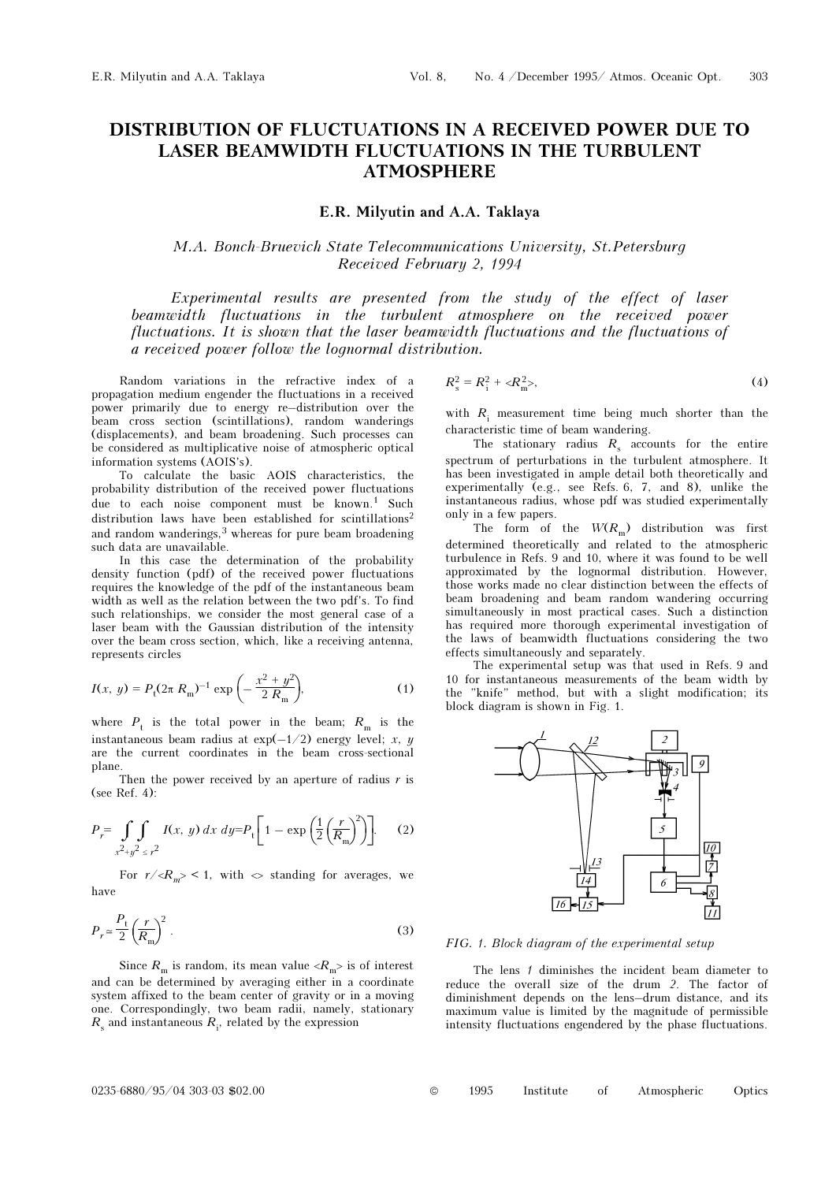# DISTRIBUTION OF FLUCTUATIONS IN A RECEIVED POWER DUE TO LASER BEAMWIDTH FLUCTUATIONS IN THE TURBULENT ATMOSPHERE

### E.R. Milyutin and A.A. Taklaya

## M.A. Bonch-Bruevich State Telecommunications University, St.Petersburg Received February 2, 1994

Experimental results are presented from the study of the effect of laser beamwidth fluctuations in the turbulent atmosphere on the received power fluctuations. It is shown that the laser beamwidth fluctuations and the fluctuations of a received power follow the lognormal distribution.

Random variations in the refractive index of a propagation medium engender the fluctuations in a received power primarily due to energy re–distribution over the beam cross section (scintillations), random wanderings (displacements), and beam broadening. Such processes can be considered as multiplicative noise of atmospheric optical information systems (AOIS's).

To calculate the basic AOIS characteristics, the probability distribution of the received power fluctuations due to each noise component must be known.<sup>1</sup> Such distribution laws have been established for scintillations<sup>2</sup> and random wanderings,<sup>3</sup> whereas for pure beam broadening such data are unavailable.

In this case the determination of the probability density function (pdf) of the received power fluctuations requires the knowledge of the pdf of the instantaneous beam width as well as the relation between the two pdf's. To find such relationships, we consider the most general case of a laser beam with the Gaussian distribution of the intensity over the beam cross section, which, like a receiving antenna, represents circles

$$
I(x, y) = P_{t}(2\pi R_{m})^{-1} \exp\left(-\frac{x^{2} + y^{2}}{2 R_{m}}\right),
$$
 (1)

where  $P_t$  is the total power in the beam;  $R_{\text{m}}$  is the instantaneous beam radius at  $\exp(-1/2)$  energy level; x, y are the current coordinates in the beam cross-sectional plane.

Then the power received by an aperture of radius  $r$  is (see Ref. 4):

$$
P_r = \int\limits_{x^2 + y^2 \le r^2} \int\limits_{z^2} I(x, y) \, dx \, dy = P_t \left[ 1 - \exp\left( \frac{1}{2} \left( \frac{r}{R_m} \right)^2 \right) \right]. \tag{2}
$$

For  $r \ll R_m$  < 1, with  $\sim$  standing for averages, we have

$$
P_r \simeq \frac{P_t}{2} \left(\frac{r}{R_m}\right)^2 \,. \tag{3}
$$

Since  $R_{\rm m}$  is random, its mean value  $\langle R_{\rm m} \rangle$  is of interest and can be determined by averaging either in a coordinate system affixed to the beam center of gravity or in a moving one. Correspondingly, two beam radii, namely, stationary  $R_{\rm s}$  and instantaneous  $R_{\rm i}$ , related by the expression

$$
R_s^2 = R_i^2 + \langle R_m^2 \rangle, \tag{4}
$$

with  $R_i$  measurement time being much shorter than the characteristic time of beam wandering.

The stationary radius  $R_s$  accounts for the entire spectrum of perturbations in the turbulent atmosphere. It has been investigated in ample detail both theoretically and experimentally (e.g., see Refs. 6, 7, and 8), unlike the instantaneous radius, whose pdf was studied experimentally only in a few papers.

The form of the  $W(R_m)$  distribution was first determined theoretically and related to the atmospheric turbulence in Refs. 9 and 10, where it was found to be well approximated by the lognormal distribution. However, those works made no clear distinction between the effects of beam broadening and beam random wandering occurring simultaneously in most practical cases. Such a distinction has required more thorough experimental investigation of the laws of beamwidth fluctuations considering the two effects simultaneously and separately.

The experimental setup was that used in Refs. 9 and 10 for instantaneous measurements of the beam width by the "knife" method, but with a slight modification; its block diagram is shown in Fig. 1.



#### FIG. 1. Block diagram of the experimental setup

The lens 1 diminishes the incident beam diameter to reduce the overall size of the drum 2. The factor of diminishment depends on the lens–drum distance, and its maximum value is limited by the magnitude of permissible intensity fluctuations engendered by the phase fluctuations.

0235-6880/95/04 303-03 \$02.00 © 1995 Institute of Atmospheric Optics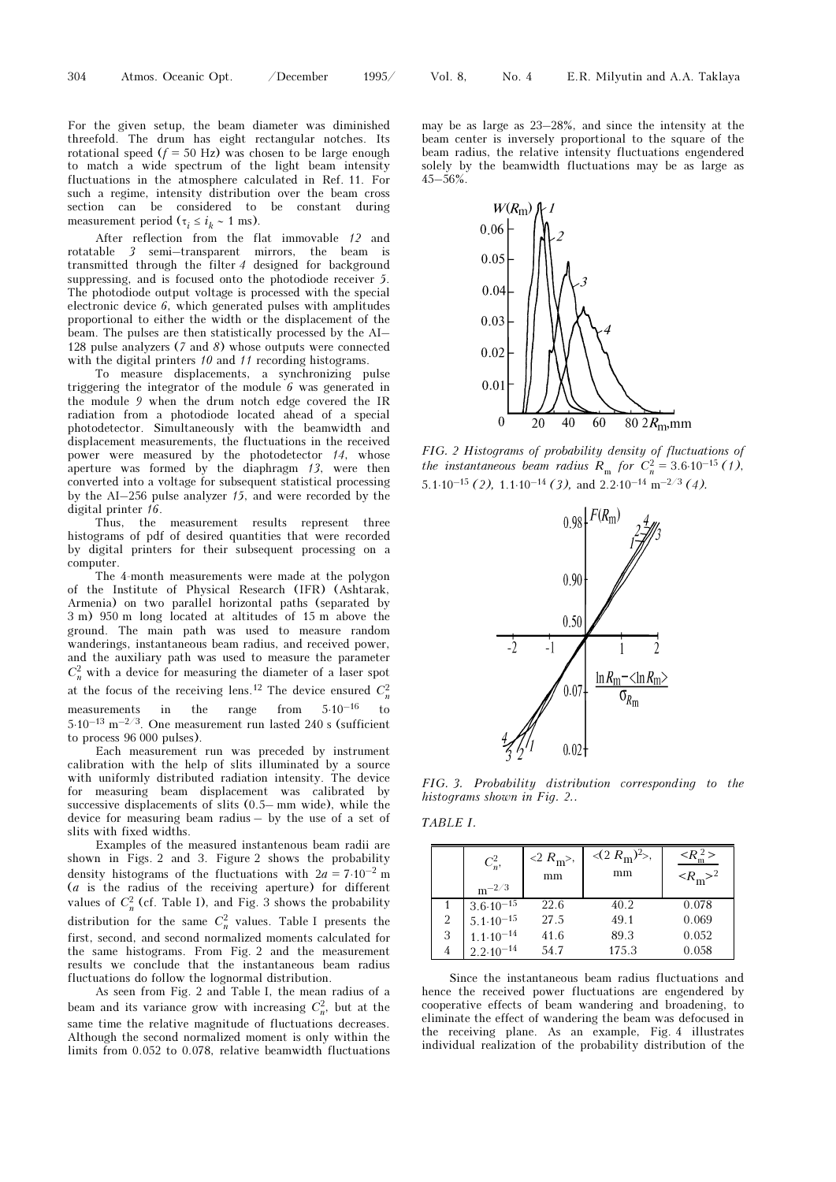For the given setup, the beam diameter was diminished threefold. The drum has eight rectangular notches. Its rotational speed  $(f = 50$  Hz) was chosen to be large enough to match a wide spectrum of the light beam intensity fluctuations in the atmosphere calculated in Ref. 11. For such a regime, intensity distribution over the beam cross section can be considered to be constant during measurement period ( $\tau_i \le i_k \sim 1$  ms).

After reflection from the flat immovable 12 and rotatable 3 semi–transparent mirrors, the beam is transmitted through the filter 4 designed for background suppressing, and is focused onto the photodiode receiver 5. The photodiode output voltage is processed with the special electronic device 6, which generated pulses with amplitudes proportional to either the width or the displacement of the beam. The pulses are then statistically processed by the AI– 128 pulse analyzers (7 and 8) whose outputs were connected with the digital printers 10 and 11 recording histograms.

To measure displacements, a synchronizing pulse triggering the integrator of the module 6 was generated in the module 9 when the drum notch edge covered the IR radiation from a photodiode located ahead of a special photodetector. Simultaneously with the beamwidth and displacement measurements, the fluctuations in the received power were measured by the photodetector 14, whose aperture was formed by the diaphragm 13, were then converted into a voltage for subsequent statistical processing by the AI–256 pulse analyzer 15, and were recorded by the digital printer  $16$ .

Thus, the measurement results represent three histograms of pdf of desired quantities that were recorded by digital printers for their subsequent processing on a computer.

The 4-month measurements were made at the polygon of the Institute of Physical Research (IFR) (Ashtarak, Armenia) on two parallel horizontal paths (separated by 3 m) 950 m long located at altitudes of 15 m above the ground. The main path was used to measure random wanderings, instantaneous beam radius, and received power, and the auxiliary path was used to measure the parameter  $C_n^2$  with a device for measuring the diameter of a laser spot at the focus of the receiving lens.<sup>12</sup> The device ensured  $C_n^2$ measurements in the range from  $5.10^{-16}$  to  $5.10^{-13}$  m<sup>-2/3</sup>. One measurement run lasted 240 s (sufficient to process 96 000 pulses).

Each measurement run was preceded by instrument calibration with the help of slits illuminated by a source with uniformly distributed radiation intensity. The device for measuring beam displacement was calibrated by successive displacements of slits (0.5– mm wide), while the device for measuring beam radius – by the use of a set of slits with fixed widths.

Examples of the measured instantenous beam radii are shown in Figs. 2 and 3. Figure 2 shows the probability density histograms of the fluctuations with  $2a = 7.10^{-2}$  m (a is the radius of the receiving aperture) for different values of  $C_n^2$  (cf. Table I), and Fig. 3 shows the probability distribution for the same  $C_n^2$  values. Table I presents the first, second, and second normalized moments calculated for the same histograms. From Fig. 2 and the measurement results we conclude that the instantaneous beam radius fluctuations do follow the lognormal distribution.

As seen from Fig. 2 and Table I, the mean radius of a beam and its variance grow with increasing  $C_n^2$ , but at the same time the relative magnitude of fluctuations decreases. Although the second normalized moment is only within the limits from 0.052 to 0.078, relative beamwidth fluctuations

may be as large as 23–28%, and since the intensity at the beam center is inversely proportional to the square of the beam radius, the relative intensity fluctuations engendered solely by the beamwidth fluctuations may be as large as 45–56%.



FIG. 2 Histograms of probability density of fluctuations of the instantaneous beam radius  $R_{\text{m}}$  for  $C_n^2 = 3.6 \cdot 10^{-15}$  (1), 5.1⋅10<sup>-15</sup> (2), 1.1⋅10<sup>-14</sup> (3), and 2.2⋅10<sup>-14</sup> m<sup>-2/3</sup> (4).



FIG. 3. Probability distribution corresponding to the histograms shown in Fig. 2..

TABLE I.

|   | $C_n^2$ ,<br>$\rm m^{-2/3}$ | $<$ 2 $R_{\rm m}$ >,<br>mm | $\langle (2 R_{\rm m})^2 \rangle$ ,<br>mm | $\langle R_{\rm m}^2 \rangle$<br>$\langle R_{\rm m} \rangle^2$ |
|---|-----------------------------|----------------------------|-------------------------------------------|----------------------------------------------------------------|
|   | $3.6 \cdot 10^{-15}$        | 22.6                       | 40.2                                      | 0.078                                                          |
| 2 | $5.1 \cdot 10^{-15}$        | 27.5                       | 49.1                                      | 0.069                                                          |
| 3 | $1.1 \cdot 10^{-14}$        | 41.6                       | 89.3                                      | 0.052                                                          |
| 4 | $2.2 \cdot 10^{-14}$        | 54.7                       | 175.3                                     | 0.058                                                          |

Since the instantaneous beam radius fluctuations and hence the received power fluctuations are engendered by cooperative effects of beam wandering and broadening, to eliminate the effect of wandering the beam was defocused in the receiving plane. As an example, Fig. 4 illustrates individual realization of the probability distribution of the